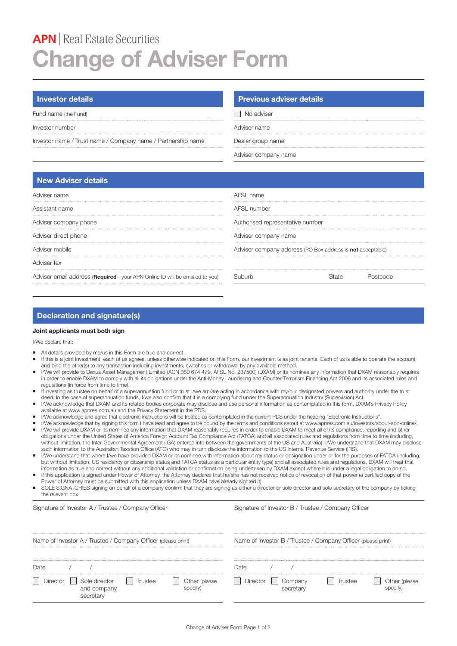# **APN** | Real Estate Securities **Change of Adviser Form**

Fund name (the Fund) and the Sunday of the Sunday Sunday Sunday Sunday Sunday Sunday Sunday Sunday Sunday Sunday

Investor number Adviser name

Investor name / Trust name / Company name / Partnership name Dealer group name

### **Investor details Previous adviser details Previous adviser details**

Adviser company name

# **New Adviser details**

| Adviser name                                                                 | AFSI name                                                  |  |  |
|------------------------------------------------------------------------------|------------------------------------------------------------|--|--|
|                                                                              |                                                            |  |  |
| Assistant name                                                               | AFSL number                                                |  |  |
|                                                                              |                                                            |  |  |
| Adviser company phone                                                        | Authorised representative number                           |  |  |
|                                                                              |                                                            |  |  |
| Adviser direct phone                                                         | Adviser company name                                       |  |  |
|                                                                              |                                                            |  |  |
| Adviser mobile                                                               | Adviser company address (PO Box address is not acceptable) |  |  |
|                                                                              |                                                            |  |  |
| Adviser fax                                                                  |                                                            |  |  |
| Adviser email address (Required - your APN Online ID will be emailed to you) |                                                            |  |  |

## **Declaration and signature(s)**

#### **Joint applicants must both sign**

I/We declare that:

- All details provided by me/us in this Form are true and correct.
- If this is a joint investment, each of us agrees, unless otherwise indicated on this Form, our investment is as joint tenants. Each of us is able to operate the account and bind the other(s) to any transaction including investments, switches or withdrawal by any available method.
- I/We will provide to Dexus Asset Management Limited (ACN 080 674 479, AFSL No. 237500) (DXAM) or its nominee any information that DXAM reasonably requires in order to enable DXAM to comply with all its obligations under the Anti-Money Laundering and Counter-Terrorism Financing Act 2006 and its associated rules and regulations (in force from time to time).
- ¡ If investing as trustee on behalf of a superannuation fund or trust I/we am/are acting in accordance with my/our designated powers and authority under the trust deed. In the case of superannuation funds, I/we also confirm that it is a complying fund under the Superannuation Industry (Supervision) Act
- I/We acknowledge that DXAM and its related bodies corporate may disclose and use personal information as contemplated in this form, DXAM's Privacy Policy available at www.apnres.com.au and the Privacy Statement in the PDS.
- ¡ I/We acknowledge and agree that electronic instructions will be treated as contemplated in the current PDS under the heading "Electronic Instructions".
- I/We acknowledge that by signing this form I have read and agree to be bound by the terms and conditions setout at www.apnres.com.au/investors/about-apn-online/. I/We will provide DXAM or its nominee any information that DXAM reasonably requires in order to enable DXAM to meet all of its compliance, reporting and other
- obligations under the United States of America Foreign Account Tax Compliance Act (FATCA) and all associated rules and regulations from time to time (including, without limitation, the Inter-Governmental Agreement (IGA) entered into between the governments of the US and Australia). I/We understand that DXAM may disclose such information to the Australian Taxation Office (ATO) who may in turn disclose the information to the US Internal Revenue Service (IRS).
- I/We understand that where I/we have provided DXAM or its nominee with information about my status or designation under or for the purposes of FATCA (including, but without limitation, US residency or citizenship status and FATCA status as a particular entity type) and all associated rules and regulations, DXAM will treat that information as true and correct without any additional validation or confirmation being undertaken by DXAM except where it is under a legal obligation to do so.
- If this application is signed under Power of Attorney, the Attorney declares that he/she has not received notice of revocation of that power (a certified copy of the Power of Attorney must be submitted with this application unless DXAM have already sighted it).
- SOLE SIGNATORIES signing on behalf of a company confirm that they are signing as either a director or sole director and sole secretary of the company by ticking the relevant box.

| Signature of Investor A / Trustee / Company Officer                       | Signature of Investor B / Trustee / Company Officer           |
|---------------------------------------------------------------------------|---------------------------------------------------------------|
| Name of Investor A / Trustee / Company Officer (please print)             | Name of Investor B / Trustee / Company Officer (please print) |
|                                                                           | )ate                                                          |
| Sole director<br>)irector<br><b>ISTAR</b><br>Jther (please<br>and company | frustee<br>l Jirector                                         |